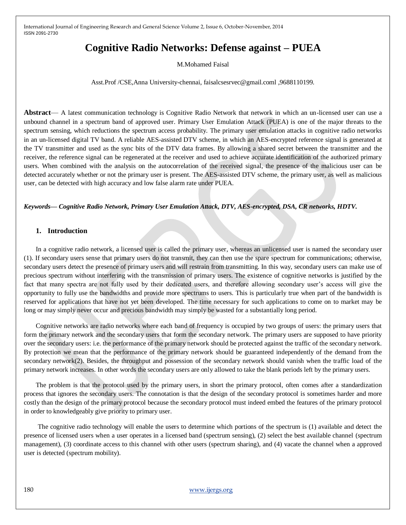# **Cognitive Radio Networks: Defense against – PUEA**

M.Mohamed Faisal

Asst.Prof /CSE,Anna University-chennai, faisalcsesrvec@gmail.coml ,9688110199.

**Abstract**— A latest communication technology is Cognitive Radio Network that network in which an un-licensed user can use a unbound channel in a spectrum band of approved user. Primary User Emulation Attack (PUEA) is one of the major threats to the spectrum sensing, which reductions the spectrum access probability. The primary user emulation attacks in cognitive radio networks in an un-licensed digital TV band. A reliable AES-assisted DTV scheme, in which an AES-encrypted reference signal is generated at the TV transmitter and used as the sync bits of the DTV data frames. By allowing a shared secret between the transmitter and the receiver, the reference signal can be regenerated at the receiver and used to achieve accurate identification of the authorized primary users. When combined with the analysis on the autocorrelation of the received signal, the presence of the malicious user can be detected accurately whether or not the primary user is present. The AES-assisted DTV scheme, the primary user, as well as malicious user, can be detected with high accuracy and low false alarm rate under PUEA.

*Keywords— Cognitive Radio Network, Primary User Emulation Attack, DTV, AES-encrypted, DSA, CR networks, HDTV.*

#### **1. Introduction**

In a cognitive radio network, a licensed user is called the primary user, whereas an unlicensed user is named the secondary user (1). If secondary users sense that primary users do not transmit, they can then use the spare spectrum for communications; otherwise, secondary users detect the presence of primary users and will restrain from transmitting. In this way, secondary users can make use of precious spectrum without interfering with the transmission of primary users. The existence of cognitive networks is justified by the fact that many spectra are not fully used by their dedicated users, and therefore allowing secondary user's access will give the opportunity to fully use the bandwidths and provide more spectrums to users. This is particularly true when part of the bandwidth is reserved for applications that have not yet been developed. The time necessary for such applications to come on to market may be long or may simply never occur and precious bandwidth may simply be wasted for a substantially long period.

Cognitive networks are radio networks where each band of frequency is occupied by two groups of users: the primary users that form the primary network and the secondary users that form the secondary network. The primary users are supposed to have priority over the secondary users: i.e. the performance of the primary network should be protected against the traffic of the secondary network. By protection we mean that the performance of the primary network should be guaranteed independently of the demand from the secondary network(2). Besides, the throughput and possession of the secondary network should vanish when the traffic load of the primary network increases. In other words the secondary users are only allowed to take the blank periods left by the primary users.

The problem is that the protocol used by the primary users, in short the primary protocol, often comes after a standardization process that ignores the secondary users. The connotation is that the design of the secondary protocol is sometimes harder and more costly than the design of the primary protocol because the secondary protocol must indeed embed the features of the primary protocol in order to knowledgeably give priority to primary user.

The cognitive radio technology will enable the users to determine which portions of the spectrum is (1) available and detect the presence of licensed users when a user operates in a licensed band (spectrum sensing), (2) select the best available channel (spectrum management), (3) coordinate access to this channel with other users (spectrum sharing), and (4) vacate the channel when a approved user is detected (spectrum mobility).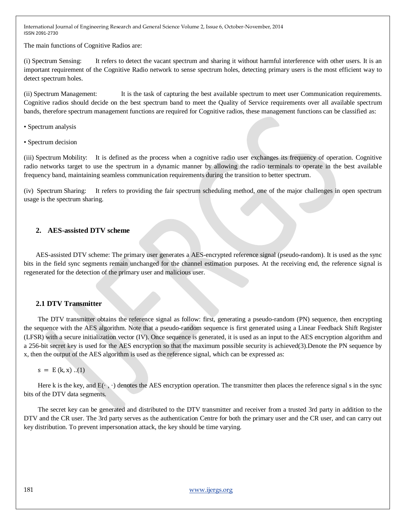The main functions of Cognitive Radios are:

(i) Spectrum Sensing: It refers to detect the vacant spectrum and sharing it without harmful interference with other users. It is an important requirement of the Cognitive Radio network to sense spectrum holes, detecting primary users is the most efficient way to detect spectrum holes.

(ii) Spectrum Management: It is the task of capturing the best available spectrum to meet user Communication requirements. Cognitive radios should decide on the best spectrum band to meet the Quality of Service requirements over all available spectrum bands, therefore spectrum management functions are required for Cognitive radios, these management functions can be classified as:

- Spectrum analysis
- Spectrum decision

(iii) Spectrum Mobility: It is defined as the process when a cognitive radio user exchanges its frequency of operation. Cognitive radio networks target to use the spectrum in a dynamic manner by allowing the radio terminals to operate in the best available frequency band, maintaining seamless communication requirements during the transition to better spectrum.

(iv) Spectrum Sharing: It refers to providing the fair spectrum scheduling method, one of the major challenges in open spectrum usage is the spectrum sharing.

## **2. AES-assisted DTV scheme**

AES-assisted DTV scheme: The primary user generates a AES-encrypted reference signal (pseudo-random). It is used as the sync bits in the field sync segments remain unchanged for the channel estimation purposes. At the receiving end, the reference signal is regenerated for the detection of the primary user and malicious user.

#### **2.1 DTV Transmitter**

The DTV transmitter obtains the reference signal as follow: first, generating a pseudo-random (PN) sequence, then encrypting the sequence with the AES algorithm. Note that a pseudo-random sequence is first generated using a Linear Feedback Shift Register (LFSR) with a secure initialization vector (IV). Once sequence is generated, it is used as an input to the AES encryption algorithm and a 256-bit secret key is used for the AES encryption so that the maximum possible security is achieved(3).Denote the PN sequence by x, then the output of the AES algorithm is used as the reference signal, which can be expressed as:

 $s = E (k, x) ... (1)$ 

Here k is the key, and  $E(\cdot, \cdot)$  denotes the AES encryption operation. The transmitter then places the reference signal s in the sync bits of the DTV data segments.

The secret key can be generated and distributed to the DTV transmitter and receiver from a trusted 3rd party in addition to the DTV and the CR user. The 3rd party serves as the authentication Centre for both the primary user and the CR user, and can carry out key distribution. To prevent impersonation attack, the key should be time varying.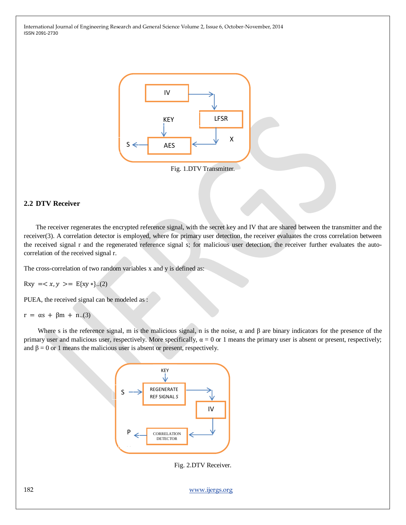

Fig. 1.DTV Transmitter.

## **2.2 DTV Receiver**

The receiver regenerates the encrypted reference signal, with the secret key and IV that are shared between the transmitter and the receiver(3). A correlation detector is employed, where for primary user detection, the receiver evaluates the cross correlation between the received signal r and the regenerated reference signal s; for malicious user detection, the receiver further evaluates the autocorrelation of the received signal r.

The cross-correlation of two random variables x and y is defined as:

 $Rxy =  = E(xy * }.$ ...(2)

PUEA, the received signal can be modeled as :

 $r = \alpha s + \beta m + n(3)$ 

Where s is the reference signal, m is the malicious signal, n is the noise,  $\alpha$  and  $\beta$  are binary indicators for the presence of the primary user and malicious user, respectively. More specifically,  $α = 0$  or 1 means the primary user is absent or present, respectively; and  $\beta = 0$  or 1 means the malicious user is absent or present, respectively.



Fig. 2.DTV Receiver.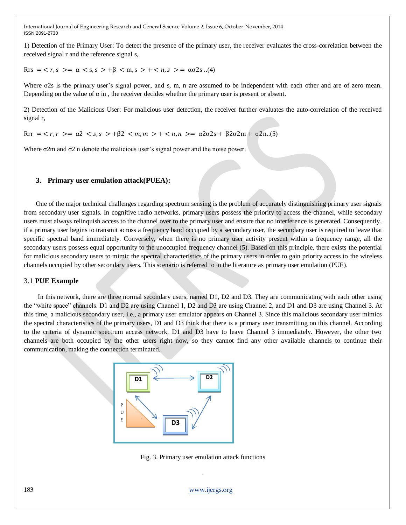1) Detection of the Primary User: To detect the presence of the primary user, the receiver evaluates the cross-correlation between the received signal r and the reference signal s,

 $Rrs = r, s \geq \alpha \leq s, s \geq \beta \leq m, s \geq + \leq n, s \geq \alpha \leq 2s \ldots (4)$ 

Where σ2s is the primary user's signal power, and s, m, n are assumed to be independent with each other and are of zero mean. Depending on the value of  $\alpha$  in, the receiver decides whether the primary user is present or absent.

2) Detection of the Malicious User: For malicious user detection, the receiver further evaluates the auto-correlation of the received signal r,

 $Rrr = \langle r, r \rangle = \alpha^2 \langle s, s \rangle + \beta^2 \langle m, m \rangle + \langle n, n \rangle = \alpha^2 \sigma^2 + \beta^2 \sigma^2 + \sigma^2$ 

Where  $\sigma$ 2m and  $\sigma$ 2 n denote the malicious user's signal power and the noise power.

#### **3. Primary user emulation attack(PUEA):**

One of the major technical challenges regarding spectrum sensing is the problem of accurately distinguishing primary user signals from secondary user signals. In cognitive radio networks, primary users possess the priority to access the channel, while secondary users must always relinquish access to the channel over to the primary user and ensure that no interference is generated. Consequently, if a primary user begins to transmit across a frequency band occupied by a secondary user, the secondary user is required to leave that specific spectral band immediately. Conversely, when there is no primary user activity present within a frequency range, all the secondary users possess equal opportunity to the unoccupied frequency channel (5). Based on this principle, there exists the potential for malicious secondary users to mimic the spectral characteristics of the primary users in order to gain priority access to the wireless channels occupied by other secondary users. This scenario is referred to in the literature as primary user emulation (PUE).

#### 3.1 **PUE Example**

In this network, there are three normal secondary users, named D1, D2 and D3. They are communicating with each other using the "white space" channels. D1 and D2 are using Channel 1, D2 and D3 are using Channel 2, and D1 and D3 are using Channel 3. At this time, a malicious secondary user, i.e., a primary user emulator appears on Channel 3. Since this malicious secondary user mimics the spectral characteristics of the primary users, D1 and D3 think that there is a primary user transmitting on this channel. According to the criteria of dynamic spectrum access network, D1 and D3 have to leave Channel 3 immediately. However, the other two channels are both occupied by the other users right now, so they cannot find any other available channels to continue their communication, making the connection terminated.



Fig. 3. Primary user emulation attack functions

.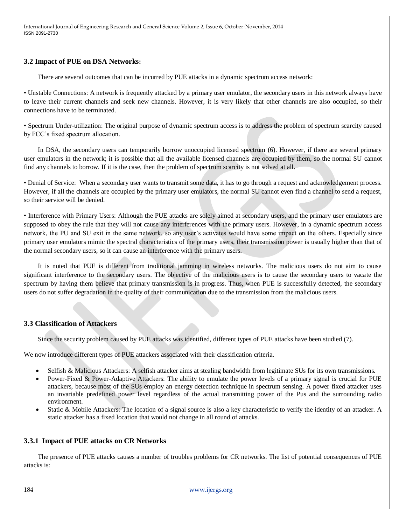## **3.2 Impact of PUE on DSA Networks:**

There are several outcomes that can be incurred by PUE attacks in a dynamic spectrum access network:

• Unstable Connections: A network is frequently attacked by a primary user emulator, the secondary users in this network always have to leave their current channels and seek new channels. However, it is very likely that other channels are also occupied, so their connections have to be terminated.

• Spectrum Under-utilization: The original purpose of dynamic spectrum access is to address the problem of spectrum scarcity caused by FCC's fixed spectrum allocation.

In DSA, the secondary users can temporarily borrow unoccupied licensed spectrum (6). However, if there are several primary user emulators in the network; it is possible that all the available licensed channels are occupied by them, so the normal SU cannot find any channels to borrow. If it is the case, then the problem of spectrum scarcity is not solved at all.

• Denial of Service: When a secondary user wants to transmit some data, it has to go through a request and acknowledgement process. However, if all the channels are occupied by the primary user emulators, the normal SU cannot even find a channel to send a request, so their service will be denied.

• Interference with Primary Users: Although the PUE attacks are solely aimed at secondary users, and the primary user emulators are supposed to obey the rule that they will not cause any interferences with the primary users. However, in a dynamic spectrum access network, the PU and SU exit in the same network, so any user's activates would have some impact on the others. Especially since primary user emulators mimic the spectral characteristics of the primary users, their transmission power is usually higher than that of the normal secondary users, so it can cause an interference with the primary users.

It is noted that PUE is different from traditional jamming in wireless networks. The malicious users do not aim to cause significant interference to the secondary users. The objective of the malicious users is to cause the secondary users to vacate the spectrum by having them believe that primary transmission is in progress. Thus, when PUE is successfully detected, the secondary users do not suffer degradation in the quality of their communication due to the transmission from the malicious users.

#### **3.3 Classification of Attackers**

Since the security problem caused by PUE attacks was identified, different types of PUE attacks have been studied (7).

We now introduce different types of PUE attackers associated with their classification criteria.

- Selfish & Malicious Attackers: A selfish attacker aims at stealing bandwidth from legitimate SUs for its own transmissions.
- Power-Fixed & Power-Adaptive Attackers: The ability to emulate the power levels of a primary signal is crucial for PUE attackers, because most of the SUs employ an energy detection technique in spectrum sensing. A power fixed attacker uses an invariable predefined power level regardless of the actual transmitting power of the Pus and the surrounding radio environment.
- Static & Mobile Attackers: The location of a signal source is also a key characteristic to verify the identity of an attacker. A static attacker has a fixed location that would not change in all round of attacks.

#### **3.3.1 Impact of PUE attacks on CR Networks**

The presence of PUE attacks causes a number of troubles problems for CR networks. The list of potential consequences of PUE attacks is: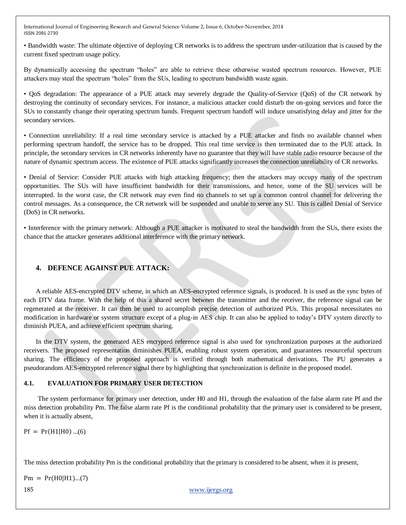• Bandwidth waste: The ultimate objective of deploying CR networks is to address the spectrum under-utilization that is caused by the current fixed spectrum usage policy.

By dynamically accessing the spectrum "holes" are able to retrieve these otherwise wasted spectrum resources. However, PUE attackers may steal the spectrum "holes" from the SUs, leading to spectrum bandwidth waste again.

• QoS degradation: The appearance of a PUE attack may severely degrade the Quality-of-Service (QoS) of the CR network by destroying the continuity of secondary services. For instance, a malicious attacker could disturb the on-going services and force the SUs to constantly change their operating spectrum bands. Frequent spectrum handoff will induce unsatisfying delay and jitter for the secondary services.

• Connection unreliability: If a real time secondary service is attacked by a PUE attacker and finds no available channel when performing spectrum handoff, the service has to be dropped. This real time service is then terminated due to the PUE attack. In principle, the secondary services in CR networks inherently have no guarantee that they will have stable radio resource because of the nature of dynamic spectrum access. The existence of PUE attacks significantly increases the connection unreliability of CR networks.

• Denial of Service: Consider PUE attacks with high attacking frequency; then the attackers may occupy many of the spectrum opportunities. The SUs will have insufficient bandwidth for their transmissions, and hence, some of the SU services will be interrupted. In the worst case, the CR network may even find no channels to set up a common control channel for delivering the control messages. As a consequence, the CR network will be suspended and unable to serve any SU. This is called Denial of Service (DoS) in CR networks.

• Interference with the primary network: Although a PUE attacker is motivated to steal the bandwidth from the SUs, there exists the chance that the attacker generates additional interference with the primary network.

# **4. DEFENCE AGAINST PUE ATTACK:**

A reliable AES-encrypted DTV scheme, in which an AES-encrypted reference signals, is produced. It is used as the sync bytes of each DTV data frame. With the help of this a shared secret between the transmitter and the receiver, the reference signal can be regenerated at the receiver. It can then be used to accomplish precise detection of authorized PUs. This proposal necessitates no modification in hardware or system structure except of a plug-in AES chip. It can also be applied to today's DTV system directly to diminish PUEA, and achieve efficient spectrum sharing.

In the DTV system, the generated AES encrypted reference signal is also used for synchronization purposes at the authorized receivers. The proposed representation diminishes PUEA, enabling robust system operation, and guarantees resourceful spectrum sharing. The efficiency of the proposed approach is verified through both mathematical derivations. The PU generates a pseudorandom AES-encrypted reference signal there by highlighting that synchronization is definite in the proposed model.

## **4.1. EVALUATION FOR PRIMARY USER DETECTION**

The system performance for primary user detection, under H0 and H1, through the evaluation of the false alarm rate Pf and the miss detection probability Pm. The false alarm rate Pf is the conditional probability that the primary user is considered to be present, when it is actually absent,

 $Pf = Pr(H1|H0) ... (6)$ 

The miss detection probability Pm is the conditional probability that the primary is considered to be absent, when it is present,

 $Pm = Pr(H0|H1)...(7)$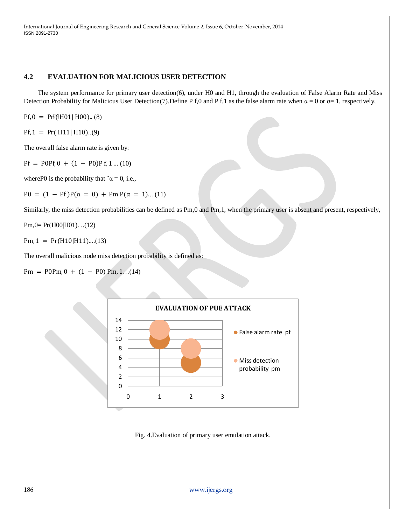# **4.2 EVALUATION FOR MALICIOUS USER DETECTION**

The system performance for primary user detection(6), under H0 and H1, through the evaluation of False Alarm Rate and Miss Detection Probability for Malicious User Detection(7).Define P f,0 and P f,1 as the false alarm rate when  $\alpha = 0$  or  $\alpha = 1$ , respectively,

 $Pf, 0 = Pr$ <sup>[2]</sup>[H01| H00).. (8)

 $Pf$ , 1 =  $Pr(H11|H10)...(9)$ 

The overall false alarm rate is given by:

 $Pf = POPf, 0 + (1 - PO)Pf, 1 ... (10)$ 

where P0 is the probability that  $\hat{\alpha} = 0$ , i.e.,

P0 =  $(1 - Pf)P(\alpha = 0) + Pm P(\alpha = 1)...(11)$ 

Similarly, the miss detection probabilities can be defined as Pm,0 and Pm,1, when the primary user is absent and present, respectively,

Pm,0= Pr(H00|H01). ..(12)

 $Pm, 1 = Pr(H10|H11)...(13)$ 

The overall malicious node miss detection probability is defined as:

 $Pm = P0Pm, 0 + (1 - P0) Pm, 1... (14)$ 



Fig. 4.Evaluation of primary user emulation attack.